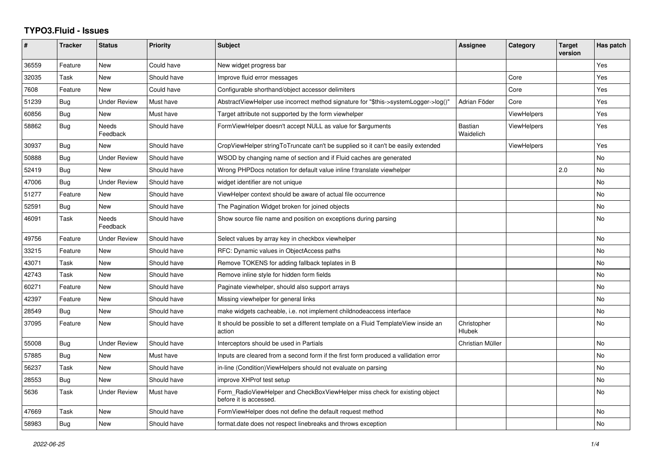## **TYPO3.Fluid - Issues**

| #     | <b>Tracker</b> | <b>Status</b>            | <b>Priority</b> | <b>Subject</b>                                                                                       | <b>Assignee</b>       | Category           | <b>Target</b><br>version | Has patch |
|-------|----------------|--------------------------|-----------------|------------------------------------------------------------------------------------------------------|-----------------------|--------------------|--------------------------|-----------|
| 36559 | Feature        | New                      | Could have      | New widget progress bar                                                                              |                       |                    |                          | Yes       |
| 32035 | Task           | <b>New</b>               | Should have     | Improve fluid error messages                                                                         |                       | Core               |                          | Yes       |
| 7608  | Feature        | New                      | Could have      | Configurable shorthand/object accessor delimiters                                                    |                       | Core               |                          | Yes       |
| 51239 | Bug            | <b>Under Review</b>      | Must have       | AbstractViewHelper use incorrect method signature for "\$this->systemLogger->log()"                  | Adrian Föder          | Core               |                          | Yes       |
| 60856 | Bug            | New                      | Must have       | Target attribute not supported by the form viewhelper                                                |                       | <b>ViewHelpers</b> |                          | Yes       |
| 58862 | <b>Bug</b>     | <b>Needs</b><br>Feedback | Should have     | FormViewHelper doesn't accept NULL as value for \$arguments                                          | Bastian<br>Waidelich  | <b>ViewHelpers</b> |                          | Yes       |
| 30937 | Bug            | <b>New</b>               | Should have     | CropViewHelper stringToTruncate can't be supplied so it can't be easily extended                     |                       | ViewHelpers        |                          | Yes       |
| 50888 | Bug            | <b>Under Review</b>      | Should have     | WSOD by changing name of section and if Fluid caches are generated                                   |                       |                    |                          | No        |
| 52419 | Bug            | <b>New</b>               | Should have     | Wrong PHPDocs notation for default value inline f:translate viewhelper                               |                       |                    | 2.0                      | No        |
| 47006 | Bug            | <b>Under Review</b>      | Should have     | widget identifier are not unique                                                                     |                       |                    |                          | No        |
| 51277 | Feature        | New                      | Should have     | ViewHelper context should be aware of actual file occurrence                                         |                       |                    |                          | No        |
| 52591 | <b>Bug</b>     | New                      | Should have     | The Pagination Widget broken for joined objects                                                      |                       |                    |                          | No        |
| 46091 | Task           | <b>Needs</b><br>Feedback | Should have     | Show source file name and position on exceptions during parsing                                      |                       |                    |                          | No        |
| 49756 | Feature        | <b>Under Review</b>      | Should have     | Select values by array key in checkbox viewhelper                                                    |                       |                    |                          | No        |
| 33215 | Feature        | <b>New</b>               | Should have     | RFC: Dynamic values in ObjectAccess paths                                                            |                       |                    |                          | No.       |
| 43071 | Task           | <b>New</b>               | Should have     | Remove TOKENS for adding fallback teplates in B                                                      |                       |                    |                          | No        |
| 42743 | Task           | New                      | Should have     | Remove inline style for hidden form fields                                                           |                       |                    |                          | No        |
| 60271 | Feature        | New                      | Should have     | Paginate viewhelper, should also support arrays                                                      |                       |                    |                          | No        |
| 42397 | Feature        | <b>New</b>               | Should have     | Missing viewhelper for general links                                                                 |                       |                    |                          | No        |
| 28549 | Bug            | New                      | Should have     | make widgets cacheable, i.e. not implement childnodeaccess interface                                 |                       |                    |                          | No        |
| 37095 | Feature        | <b>New</b>               | Should have     | It should be possible to set a different template on a Fluid TemplateView inside an<br>action        | Christopher<br>Hlubek |                    |                          | No        |
| 55008 | Bug            | <b>Under Review</b>      | Should have     | Interceptors should be used in Partials                                                              | Christian Müller      |                    |                          | No        |
| 57885 | Bug            | <b>New</b>               | Must have       | Inputs are cleared from a second form if the first form produced a vallidation error                 |                       |                    |                          | No        |
| 56237 | Task           | <b>New</b>               | Should have     | in-line (Condition) View Helpers should not evaluate on parsing                                      |                       |                    |                          | No        |
| 28553 | Bug            | <b>New</b>               | Should have     | improve XHProf test setup                                                                            |                       |                    |                          | No        |
| 5636  | Task           | <b>Under Review</b>      | Must have       | Form RadioViewHelper and CheckBoxViewHelper miss check for existing object<br>before it is accessed. |                       |                    |                          | No.       |
| 47669 | Task           | <b>New</b>               | Should have     | FormViewHelper does not define the default request method                                            |                       |                    |                          | No.       |
| 58983 | Bug            | New                      | Should have     | format.date does not respect linebreaks and throws exception                                         |                       |                    |                          | No        |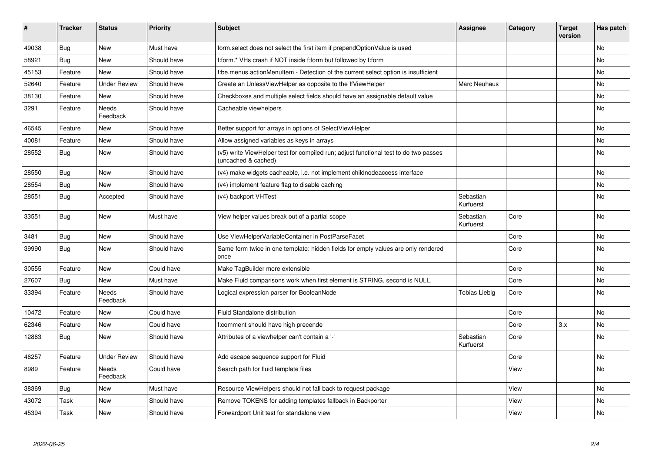| $\sharp$ | <b>Tracker</b> | <b>Status</b>       | <b>Priority</b> | Subject                                                                                                     | Assignee               | Category | <b>Target</b><br>version | Has patch |
|----------|----------------|---------------------|-----------------|-------------------------------------------------------------------------------------------------------------|------------------------|----------|--------------------------|-----------|
| 49038    | <b>Bug</b>     | New                 | Must have       | form.select does not select the first item if prependOptionValue is used                                    |                        |          |                          | <b>No</b> |
| 58921    | Bug            | New                 | Should have     | f:form.* VHs crash if NOT inside f:form but followed by f:form                                              |                        |          |                          | No        |
| 45153    | Feature        | <b>New</b>          | Should have     | f:be.menus.actionMenuItem - Detection of the current select option is insufficient                          |                        |          |                          | No        |
| 52640    | Feature        | <b>Under Review</b> | Should have     | Create an UnlessViewHelper as opposite to the IfViewHelper                                                  | <b>Marc Neuhaus</b>    |          |                          | No        |
| 38130    | Feature        | New                 | Should have     | Checkboxes and multiple select fields should have an assignable default value                               |                        |          |                          | <b>No</b> |
| 3291     | Feature        | Needs<br>Feedback   | Should have     | Cacheable viewhelpers                                                                                       |                        |          |                          | No        |
| 46545    | Feature        | New                 | Should have     | Better support for arrays in options of SelectViewHelper                                                    |                        |          |                          | <b>No</b> |
| 40081    | Feature        | <b>New</b>          | Should have     | Allow assigned variables as keys in arrays                                                                  |                        |          |                          | No        |
| 28552    | <b>Bug</b>     | New                 | Should have     | (v5) write ViewHelper test for compiled run; adjust functional test to do two passes<br>(uncached & cached) |                        |          |                          | <b>No</b> |
| 28550    | <b>Bug</b>     | New                 | Should have     | (v4) make widgets cacheable, i.e. not implement childnodeaccess interface                                   |                        |          |                          | No        |
| 28554    | Bug            | New                 | Should have     | (v4) implement feature flag to disable caching                                                              |                        |          |                          | No        |
| 28551    | Bug            | Accepted            | Should have     | (v4) backport VHTest                                                                                        | Sebastian<br>Kurfuerst |          |                          | <b>No</b> |
| 33551    | <b>Bug</b>     | New                 | Must have       | View helper values break out of a partial scope                                                             | Sebastian<br>Kurfuerst | Core     |                          | No        |
| 3481     | <b>Bug</b>     | New                 | Should have     | Use ViewHelperVariableContainer in PostParseFacet                                                           |                        | Core     |                          | No        |
| 39990    | <b>Bug</b>     | New                 | Should have     | Same form twice in one template: hidden fields for empty values are only rendered<br>once                   |                        | Core     |                          | <b>No</b> |
| 30555    | Feature        | <b>New</b>          | Could have      | Make TagBuilder more extensible                                                                             |                        | Core     |                          | No        |
| 27607    | <b>Bug</b>     | <b>New</b>          | Must have       | Make Fluid comparisons work when first element is STRING, second is NULL.                                   |                        | Core     |                          | <b>No</b> |
| 33394    | Feature        | Needs<br>Feedback   | Should have     | Logical expression parser for BooleanNode                                                                   | <b>Tobias Liebig</b>   | Core     |                          | No        |
| 10472    | Feature        | <b>New</b>          | Could have      | Fluid Standalone distribution                                                                               |                        | Core     |                          | <b>No</b> |
| 62346    | Feature        | New                 | Could have      | f:comment should have high precende                                                                         |                        | Core     | 3.x                      | <b>No</b> |
| 12863    | Bug            | New                 | Should have     | Attributes of a viewhelper can't contain a '-'                                                              | Sebastian<br>Kurfuerst | Core     |                          | <b>No</b> |
| 46257    | Feature        | <b>Under Review</b> | Should have     | Add escape sequence support for Fluid                                                                       |                        | Core     |                          | <b>No</b> |
| 8989     | Feature        | Needs<br>Feedback   | Could have      | Search path for fluid template files                                                                        |                        | View     |                          | No        |
| 38369    | Bug            | New                 | Must have       | Resource ViewHelpers should not fall back to request package                                                |                        | View     |                          | <b>No</b> |
| 43072    | Task           | New                 | Should have     | Remove TOKENS for adding templates fallback in Backporter                                                   |                        | View     |                          | <b>No</b> |
| 45394    | Task           | New                 | Should have     | Forwardport Unit test for standalone view                                                                   |                        | View     |                          | <b>No</b> |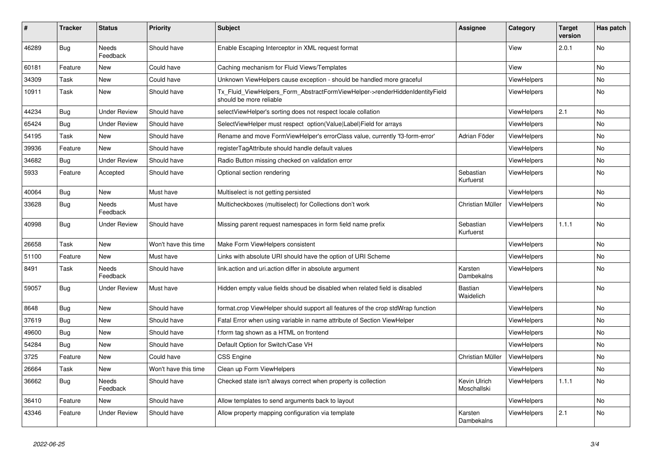| #     | <b>Tracker</b> | <b>Status</b>       | <b>Priority</b>      | <b>Subject</b>                                                                                         | <b>Assignee</b>             | Category           | <b>Target</b><br>version | Has patch |
|-------|----------------|---------------------|----------------------|--------------------------------------------------------------------------------------------------------|-----------------------------|--------------------|--------------------------|-----------|
| 46289 | <b>Bug</b>     | Needs<br>Feedback   | Should have          | Enable Escaping Interceptor in XML request format                                                      |                             | View               | 2.0.1                    | No        |
| 60181 | Feature        | New                 | Could have           | Caching mechanism for Fluid Views/Templates                                                            |                             | View               |                          | No        |
| 34309 | Task           | New                 | Could have           | Unknown ViewHelpers cause exception - should be handled more graceful                                  |                             | <b>ViewHelpers</b> |                          | No        |
| 10911 | Task           | New                 | Should have          | Tx_Fluid_ViewHelpers_Form_AbstractFormViewHelper->renderHiddenIdentityField<br>should be more reliable |                             | <b>ViewHelpers</b> |                          | No        |
| 44234 | Bug            | Under Review        | Should have          | selectViewHelper's sorting does not respect locale collation                                           |                             | <b>ViewHelpers</b> | 2.1                      | No        |
| 65424 | Bug            | Under Review        | Should have          | SelectViewHelper must respect option(Value Label)Field for arrays                                      |                             | <b>ViewHelpers</b> |                          | <b>No</b> |
| 54195 | Task           | New                 | Should have          | Rename and move FormViewHelper's errorClass value, currently 'f3-form-error'                           | Adrian Föder                | <b>ViewHelpers</b> |                          | No        |
| 39936 | Feature        | New                 | Should have          | registerTagAttribute should handle default values                                                      |                             | <b>ViewHelpers</b> |                          | No        |
| 34682 | Bug            | <b>Under Review</b> | Should have          | Radio Button missing checked on validation error                                                       |                             | <b>ViewHelpers</b> |                          | <b>No</b> |
| 5933  | Feature        | Accepted            | Should have          | Optional section rendering                                                                             | Sebastian<br>Kurfuerst      | <b>ViewHelpers</b> |                          | No        |
| 40064 | Bug            | New                 | Must have            | Multiselect is not getting persisted                                                                   |                             | ViewHelpers        |                          | No        |
| 33628 | Bug            | Needs<br>Feedback   | Must have            | Multicheckboxes (multiselect) for Collections don't work                                               | Christian Müller            | <b>ViewHelpers</b> |                          | <b>No</b> |
| 40998 | <b>Bug</b>     | <b>Under Review</b> | Should have          | Missing parent request namespaces in form field name prefix                                            | Sebastian<br>Kurfuerst      | <b>ViewHelpers</b> | 1.1.1                    | <b>No</b> |
| 26658 | Task           | New                 | Won't have this time | Make Form ViewHelpers consistent                                                                       |                             | <b>ViewHelpers</b> |                          | No        |
| 51100 | Feature        | <b>New</b>          | Must have            | Links with absolute URI should have the option of URI Scheme                                           |                             | <b>ViewHelpers</b> |                          | <b>No</b> |
| 8491  | Task           | Needs<br>Feedback   | Should have          | link action and uri action differ in absolute argument                                                 | Karsten<br>Dambekalns       | <b>ViewHelpers</b> |                          | No        |
| 59057 | Bug            | Under Review        | Must have            | Hidden empty value fields shoud be disabled when related field is disabled                             | Bastian<br>Waidelich        | <b>ViewHelpers</b> |                          | <b>No</b> |
| 8648  | <b>Bug</b>     | New                 | Should have          | format.crop ViewHelper should support all features of the crop stdWrap function                        |                             | ViewHelpers        |                          | <b>No</b> |
| 37619 | Bug            | New                 | Should have          | Fatal Error when using variable in name attribute of Section ViewHelper                                |                             | ViewHelpers        |                          | No        |
| 49600 | Bug            | New                 | Should have          | f:form tag shown as a HTML on frontend                                                                 |                             | ViewHelpers        |                          | <b>No</b> |
| 54284 | Bug            | <b>New</b>          | Should have          | Default Option for Switch/Case VH                                                                      |                             | <b>ViewHelpers</b> |                          | <b>No</b> |
| 3725  | Feature        | New                 | Could have           | <b>CSS Engine</b>                                                                                      | Christian Müller            | <b>ViewHelpers</b> |                          | <b>No</b> |
| 26664 | Task           | New                 | Won't have this time | Clean up Form ViewHelpers                                                                              |                             | ViewHelpers        |                          | <b>No</b> |
| 36662 | Bug            | Needs<br>Feedback   | Should have          | Checked state isn't always correct when property is collection                                         | Kevin Ulrich<br>Moschallski | <b>ViewHelpers</b> | 1.1.1                    | <b>No</b> |
| 36410 | Feature        | New                 | Should have          | Allow templates to send arguments back to layout                                                       |                             | ViewHelpers        |                          | No        |
| 43346 | Feature        | <b>Under Review</b> | Should have          | Allow property mapping configuration via template                                                      | Karsten<br>Dambekalns       | ViewHelpers        | 2.1                      | No        |